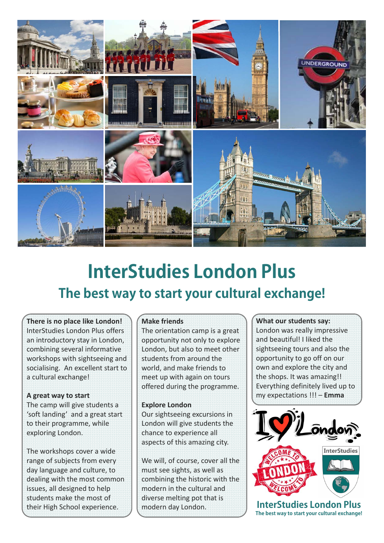

# **InterStudies London Plus The best way to start your cultural exchange!**

## **There is no place like London!**

InterStudies London Plus offers an introductory stay in London, combining several informative workshops with sightseeing and socialising. An excellent start to a cultural exchange!

#### **A great way to start**

The camp will give students a 'soft landing' and a great start to their programme, while exploring London.

The workshops cover a wide range of subjects from every day language and culture, to dealing with the most common issues, all designed to help students make the most of their High School experience.

#### **Make friends**

The orientation camp is a great opportunity not only to explore London, but also to meet other students from around the world, and make friends to meet up with again on tours offered during the programme.

#### **Explore London**

Our sightseeing excursions in London will give students the chance to experience all aspects of this amazing city.

We will, of course, cover all the must see sights, as well as combining the historic with the modern in the cultural and diverse melting pot that is modern day London.

**What our students say:** London was really impressive and beautiful! I liked the sightseeing tours and also the opportunity to go off on our own and explore the city and the shops. It was amazing!! Everything definitely lived up to my expectations !!! – **Emma**



**InterStudies London Plus The best way to start your cultural exchange!**